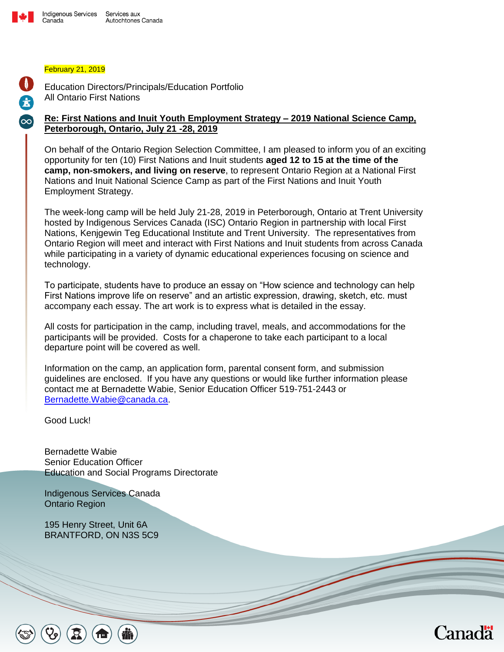

#### February 21, 2019

 $\mathbf{T}$ 

£

Education Directors/Principals/Education Portfolio All Ontario First Nations

#### **Re: First Nations and Inuit Youth Employment Strategy – 2019 National Science Camp, Peterborough, Ontario, July 21 -28, 2019**

On behalf of the Ontario Region Selection Committee, I am pleased to inform you of an exciting opportunity for ten (10) First Nations and Inuit students **aged 12 to 15 at the time of the camp, non-smokers, and living on reserve**, to represent Ontario Region at a National First Nations and Inuit National Science Camp as part of the First Nations and Inuit Youth Employment Strategy.

The week-long camp will be held July 21-28, 2019 in Peterborough, Ontario at Trent University hosted by Indigenous Services Canada (ISC) Ontario Region in partnership with local First Nations, Kenjgewin Teg Educational Institute and Trent University. The representatives from Ontario Region will meet and interact with First Nations and Inuit students from across Canada while participating in a variety of dynamic educational experiences focusing on science and technology.

To participate, students have to produce an essay on "How science and technology can help First Nations improve life on reserve" and an artistic expression, drawing, sketch, etc. must accompany each essay. The art work is to express what is detailed in the essay.

All costs for participation in the camp, including travel, meals, and accommodations for the participants will be provided. Costs for a chaperone to take each participant to a local departure point will be covered as well.

Information on the camp, an application form, parental consent form, and submission guidelines are enclosed. If you have any questions or would like further information please contact me at Bernadette Wabie, Senior Education Officer 519-751-2443 or [Bernadette.Wabie@canada.ca.](https://gcdocs.intra.pri/contentserverinacproductiondav/nodes/33853055/mailto%3ABernadette.Wabie%40canada.ca)

Good Luck!

Bernadette Wabie Senior Education Officer Education and Social Programs Directorate

Indigenous Services Canada Ontario Region

195 Henry Street, Unit 6A BRANTFORD, ON N3S 5C9

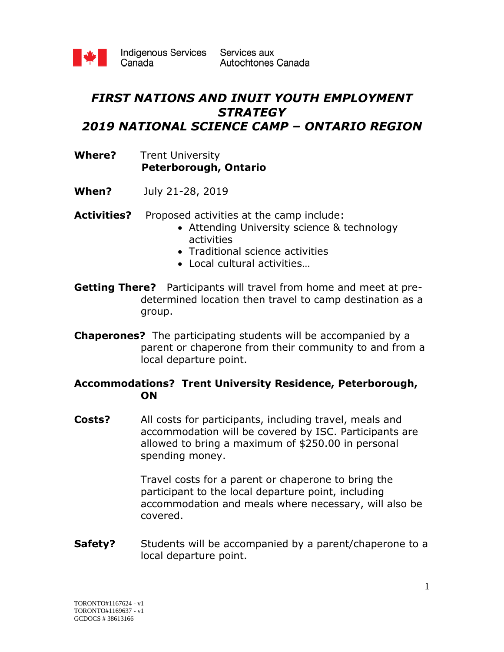

Indigenous Services Services aux Canada

## *FIRST NATIONS AND INUIT YOUTH EMPLOYMENT STRATEGY 2019 NATIONAL SCIENCE CAMP – ONTARIO REGION*

#### **Where?** Trent University  **Peterborough, Ontario**

- **When?** July 21-28, 2019
- Activities? Proposed activities at the camp include:
	- Attending University science & technology activities
	- Traditional science activities
	- Local cultural activities…
- **Getting There?** Participants will travel from home and meet at predetermined location then travel to camp destination as a group.
- **Chaperones?** The participating students will be accompanied by a parent or chaperone from their community to and from a local departure point.

#### **Accommodations? Trent University Residence, Peterborough, ON**

**Costs?** All costs for participants, including travel, meals and accommodation will be covered by ISC. Participants are allowed to bring a maximum of \$250.00 in personal spending money.

> Travel costs for a parent or chaperone to bring the participant to the local departure point, including accommodation and meals where necessary, will also be covered.

**Safety?** Students will be accompanied by a parent/chaperone to a local departure point.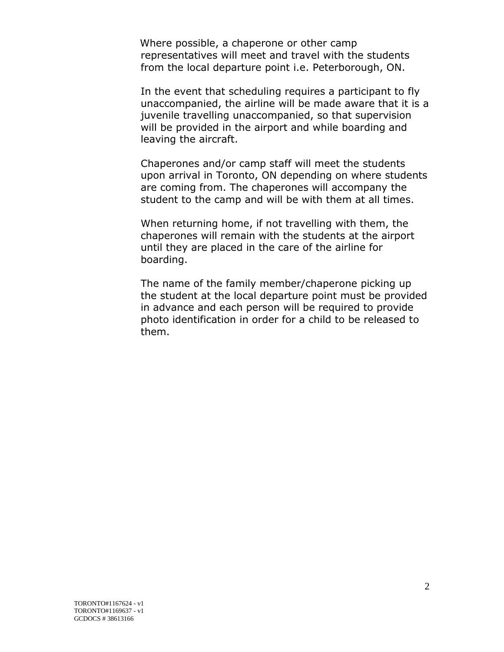Where possible, a chaperone or other camp representatives will meet and travel with the students from the local departure point i.e. Peterborough, ON.

In the event that scheduling requires a participant to fly unaccompanied, the airline will be made aware that it is a juvenile travelling unaccompanied, so that supervision will be provided in the airport and while boarding and leaving the aircraft.

Chaperones and/or camp staff will meet the students upon arrival in Toronto, ON depending on where students are coming from. The chaperones will accompany the student to the camp and will be with them at all times.

When returning home, if not travelling with them, the chaperones will remain with the students at the airport until they are placed in the care of the airline for boarding.

The name of the family member/chaperone picking up the student at the local departure point must be provided in advance and each person will be required to provide photo identification in order for a child to be released to them.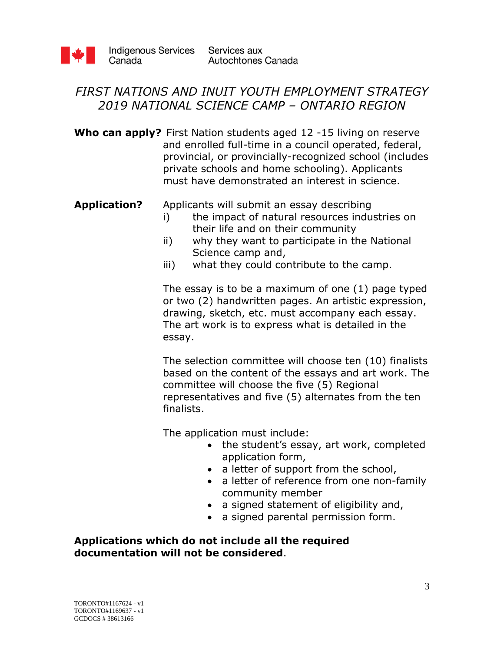

## *FIRST NATIONS AND INUIT YOUTH EMPLOYMENT STRATEGY 2019 NATIONAL SCIENCE CAMP – ONTARIO REGION*

**Who can apply?** First Nation students aged 12 -15 living on reserve and enrolled full-time in a council operated, federal, provincial, or provincially-recognized school (includes private schools and home schooling). Applicants must have demonstrated an interest in science.

**Application?** Applicants will submit an essay describing

- i) the impact of natural resources industries on their life and on their community
- ii) why they want to participate in the National Science camp and,
- iii) what they could contribute to the camp.

The essay is to be a maximum of one (1) page typed or two (2) handwritten pages. An artistic expression, drawing, sketch, etc. must accompany each essay. The art work is to express what is detailed in the essay.

The selection committee will choose ten (10) finalists based on the content of the essays and art work. The committee will choose the five (5) Regional representatives and five (5) alternates from the ten finalists.

The application must include:

- the student's essay, art work, completed application form,
- a letter of support from the school,
- a letter of reference from one non-family community member
- a signed statement of eligibility and,
- a signed parental permission form.

**Applications which do not include all the required documentation will not be considered**.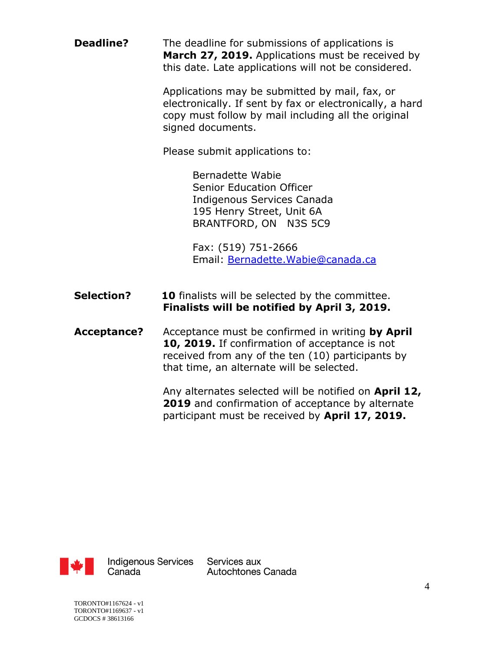**Deadline?** The deadline for submissions of applications is **March 27, 2019.** Applications must be received by this date. Late applications will not be considered.

> Applications may be submitted by mail, fax, or electronically. If sent by fax or electronically, a hard copy must follow by mail including all the original signed documents.

Please submit applications to:

Bernadette Wabie Senior Education Officer Indigenous Services Canada 195 Henry Street, Unit 6A BRANTFORD, ON N3S 5C9

Fax: (519) 751-2666 Email: [Bernadette.Wabie@canada.ca](mailto:Bernadette.Wabie@canada.ca)

- **Selection?** 10 finalists will be selected by the committee. **Finalists will be notified by April 3, 2019.**
- **Acceptance?** Acceptance must be confirmed in writing **by April 10, 2019.** If confirmation of acceptance is not received from any of the ten (10) participants by that time, an alternate will be selected.

Any alternates selected will be notified on **April 12, 2019** and confirmation of acceptance by alternate participant must be received by **April 17, 2019.**



**Indigenous Services** Canada

Services aux Autochtones Canada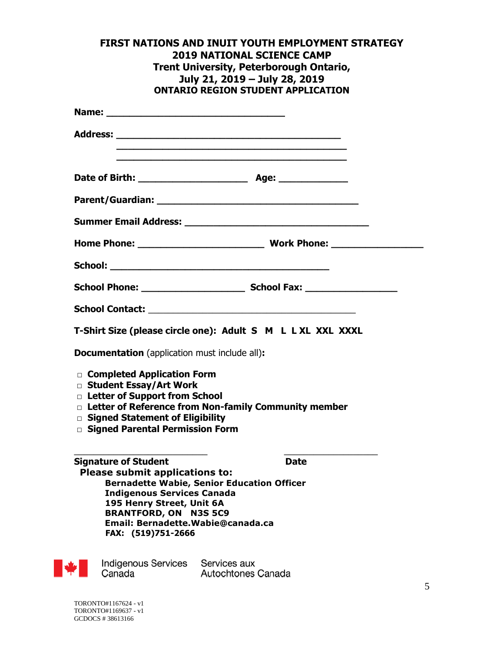|                                                                                                                                                                                              | FIRST NATIONS AND INUIT YOUTH EMPLOYMENT STRATEGY<br><b>2019 NATIONAL SCIENCE CAMP</b><br><b>Trent University, Peterborough Ontario,</b><br>July 21, 2019 - July 28, 2019<br><b>ONTARIO REGION STUDENT APPLICATION</b> |
|----------------------------------------------------------------------------------------------------------------------------------------------------------------------------------------------|------------------------------------------------------------------------------------------------------------------------------------------------------------------------------------------------------------------------|
|                                                                                                                                                                                              |                                                                                                                                                                                                                        |
|                                                                                                                                                                                              |                                                                                                                                                                                                                        |
|                                                                                                                                                                                              |                                                                                                                                                                                                                        |
|                                                                                                                                                                                              |                                                                                                                                                                                                                        |
|                                                                                                                                                                                              |                                                                                                                                                                                                                        |
|                                                                                                                                                                                              |                                                                                                                                                                                                                        |
|                                                                                                                                                                                              |                                                                                                                                                                                                                        |
|                                                                                                                                                                                              |                                                                                                                                                                                                                        |
|                                                                                                                                                                                              |                                                                                                                                                                                                                        |
|                                                                                                                                                                                              | T-Shirt Size (please circle one): Adult S M L L XL XXL XXXL                                                                                                                                                            |
| Documentation (application must include all):                                                                                                                                                |                                                                                                                                                                                                                        |
| □ Completed Application Form<br>□ Student Essay/Art Work<br>D Letter of Support from School<br>□ Signed Statement of Eligibility<br>□ Signed Parental Permission Form                        | D Letter of Reference from Non-family Community member                                                                                                                                                                 |
| <b>Signature of Student</b><br><b>Please submit applications to:</b><br><b>Indigenous Services Canada</b><br>195 Henry Street, Unit 6A<br><b>BRANTFORD, ON N3S 5C9</b><br>FAX: (519)751-2666 | <b>Date</b><br><b>Bernadette Wabie, Senior Education Officer</b><br>Email: Bernadette.Wabie@canada.ca                                                                                                                  |
|                                                                                                                                                                                              |                                                                                                                                                                                                                        |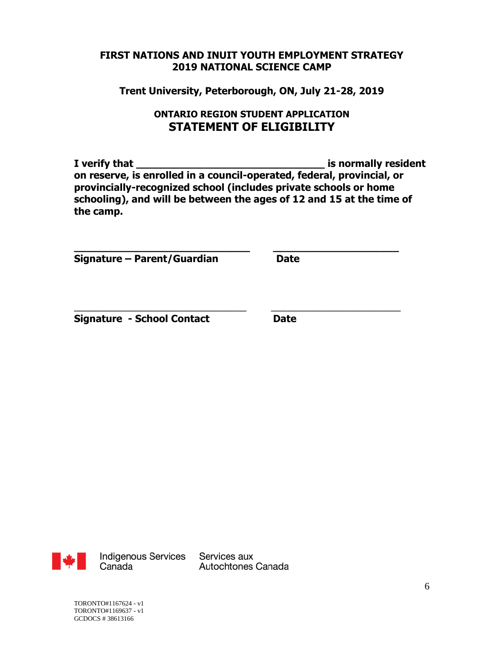**Trent University, Peterborough, ON, July 21-28, 2019**

### **ONTARIO REGION STUDENT APPLICATION STATEMENT OF ELIGIBILITY**

**I verify that \_\_\_\_\_\_\_\_\_\_\_\_\_\_\_\_\_\_\_\_\_\_\_\_\_\_\_\_\_\_ is normally resident on reserve, is enrolled in a council-operated, federal, provincial, or provincially-recognized school (includes private schools or home schooling), and will be between the ages of 12 and 15 at the time of the camp.**

**\_\_\_\_\_\_\_\_\_\_\_\_\_\_\_\_\_\_\_\_\_\_\_\_\_\_\_\_ \_\_\_\_\_\_\_\_\_\_\_\_\_\_\_\_\_\_\_\_**

\_\_\_\_\_\_\_\_\_\_\_\_\_\_\_\_\_\_\_\_\_\_\_\_\_\_\_\_\_\_\_\_ \_\_\_\_\_\_\_\_\_\_\_\_\_\_\_\_\_\_\_\_\_\_\_\_

**Signature – Parent/Guardian Date**

**Signature - School Contact Date**



Autochtones Canada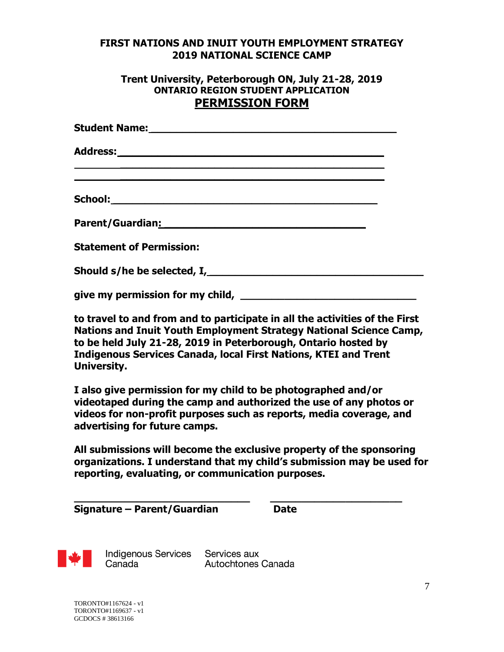#### **Trent University, Peterborough ON, July 21-28, 2019 ONTARIO REGION STUDENT APPLICATION PERMISSION FORM**

| <u> 1989 - Andrea Andrea Andrea Andrea Andrea Andrea Andrea Andrea Andrea Andrea Andrea Andrea Andrea Andrea And</u> |  |
|----------------------------------------------------------------------------------------------------------------------|--|
|                                                                                                                      |  |
| Parent/Guardian <u>: with and all allegance and allegance</u> and all allegance and allegance and allegance and all  |  |
| <b>Statement of Permission:</b>                                                                                      |  |
|                                                                                                                      |  |
|                                                                                                                      |  |
|                                                                                                                      |  |

**to travel to and from and to participate in all the activities of the First Nations and Inuit Youth Employment Strategy National Science Camp, to be held July 21-28, 2019 in Peterborough, Ontario hosted by Indigenous Services Canada, local First Nations, KTEI and Trent University.** 

**I also give permission for my child to be photographed and/or videotaped during the camp and authorized the use of any photos or videos for non-profit purposes such as reports, media coverage, and advertising for future camps.**

**All submissions will become the exclusive property of the sponsoring organizations. I understand that my child's submission may be used for reporting, evaluating, or communication purposes.**

| Signature – Parent/Guardian | <b>Date</b> |
|-----------------------------|-------------|
|-----------------------------|-------------|



**Indigenous Services** Canada

Services aux Autochtones Canada

**\_\_\_\_\_\_\_\_\_\_\_\_\_\_\_\_\_\_\_\_\_\_\_\_\_\_\_\_ \_\_\_\_\_\_\_\_\_\_\_\_\_\_\_\_\_\_\_\_\_**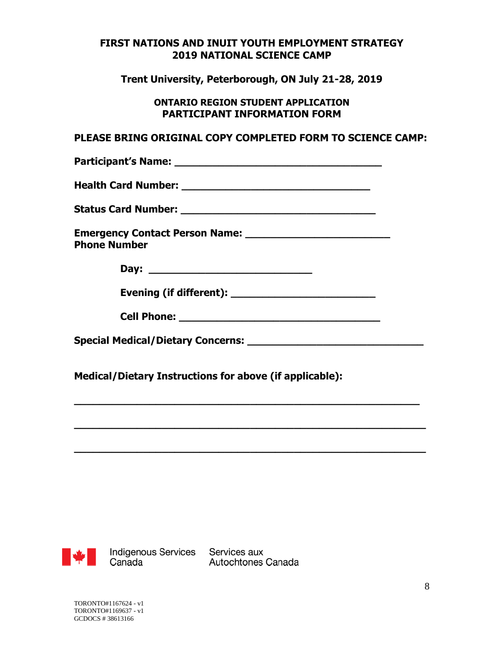**Trent University, Peterborough, ON July 21-28, 2019**

#### **ONTARIO REGION STUDENT APPLICATION PARTICIPANT INFORMATION FORM**

#### **PLEASE BRING ORIGINAL COPY COMPLETED FORM TO SCIENCE CAMP:**

| <b>Phone Number</b> |  |
|---------------------|--|
|                     |  |
|                     |  |
|                     |  |
|                     |  |
|                     |  |

**\_\_\_\_\_\_\_\_\_\_\_\_\_\_\_\_\_\_\_\_\_\_\_\_\_\_\_\_\_\_\_\_\_\_\_\_\_\_\_\_\_\_\_\_\_\_\_\_\_\_\_\_\_\_\_** 

**\_\_\_\_\_\_\_\_\_\_\_\_\_\_\_\_\_\_\_\_\_\_\_\_\_\_\_\_\_\_\_\_\_\_\_\_\_\_\_\_\_\_\_\_\_\_\_\_\_\_\_\_\_\_\_\_** 

**\_\_\_\_\_\_\_\_\_\_\_\_\_\_\_\_\_\_\_\_\_\_\_\_\_\_\_\_\_\_\_\_\_\_\_\_\_\_\_\_\_\_\_\_\_\_\_\_\_\_\_\_\_\_\_\_**

**Medical/Dietary Instructions for above (if applicable):** 



Indigenous Services Services aux<br>Canada Autochtones Canada

Autochtones Canada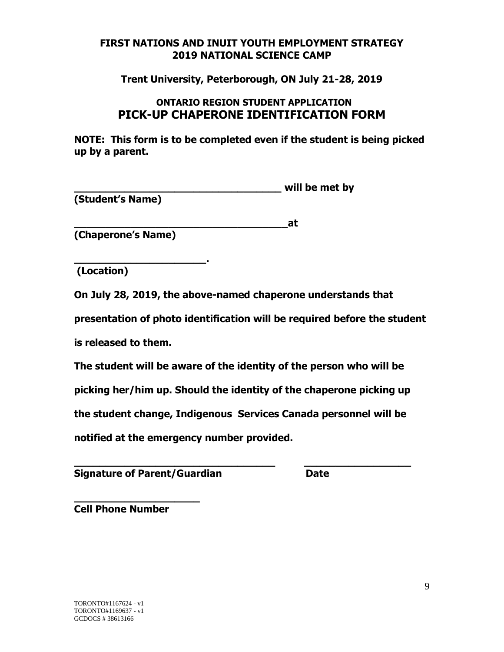**Trent University, Peterborough, ON July 21-28, 2019**

### **ONTARIO REGION STUDENT APPLICATION PICK-UP CHAPERONE IDENTIFICATION FORM**

**NOTE: This form is to be completed even if the student is being picked up by a parent.**

**\_\_\_\_\_\_\_\_\_\_\_\_\_\_\_\_\_\_\_\_\_\_\_\_\_\_\_\_\_\_\_\_\_ will be met by (Student's Name)** 

**\_\_\_\_\_\_\_\_\_\_\_\_\_\_\_\_\_\_\_\_\_\_\_\_\_\_\_\_\_\_\_\_\_\_at (Chaperone's Name)** 

**\_\_\_\_\_\_\_\_\_\_\_\_\_\_\_\_\_\_\_\_\_. (Location)**

**On July 28, 2019, the above-named chaperone understands that** 

**presentation of photo identification will be required before the student**

**is released to them.** 

**The student will be aware of the identity of the person who will be** 

**picking her/him up. Should the identity of the chaperone picking up** 

**the student change, Indigenous Services Canada personnel will be** 

**\_\_\_\_\_\_\_\_\_\_\_\_\_\_\_\_\_\_\_\_\_\_\_\_\_\_\_\_\_\_\_\_ \_\_\_\_\_\_\_\_\_\_\_\_\_\_\_\_\_**

**notified at the emergency number provided.**

**Signature of Parent/Guardian Communisty Control Date** 

**\_\_\_\_\_\_\_\_\_\_\_\_\_\_\_\_\_\_\_\_ Cell Phone Number**